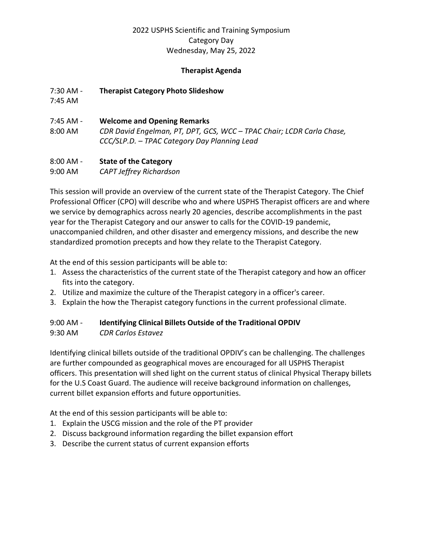### **Therapist Agenda**

7:30 AM - **Therapist Category Photo Slideshow**

7:45 AM

- 7:45 AM **Welcome and Opening Remarks**
- 8:00 AM *CDR David Engelman, PT, DPT, GCS, WCC – TPAC Chair; LCDR Carla Chase, CCC/SLP.D. – TPAC Category Day Planning Lead*

### 8:00 AM - **State of the Category**

9:00 AM *CAPT Jeffrey Richardson* 

This session will provide an overview of the current state of the Therapist Category. The Chief Professional Officer (CPO) will describe who and where USPHS Therapist officers are and where we service by demographics across nearly 20 agencies, describe accomplishments in the past year for the Therapist Category and our answer to calls for the COVID-19 pandemic, unaccompanied children, and other disaster and emergency missions, and describe the new standardized promotion precepts and how they relate to the Therapist Category.

At the end of this session participants will be able to:

- 1. Assess the characteristics of the current state of the Therapist category and how an officer fits into the category.
- 2. Utilize and maximize the culture of the Therapist category in a officer's career.
- 3. Explain the how the Therapist category functions in the current professional climate.

# 9:00 AM - **Identifying Clinical Billets Outside of the Traditional OPDIV**

9:30 AM *CDR Carlos Estavez* 

Identifying clinical billets outside of the traditional OPDIV's can be challenging. The challenges are further compounded as geographical moves are encouraged for all USPHS Therapist officers. This presentation will shed light on the current status of clinical Physical Therapy billets for the U.S Coast Guard. The audience will receive background information on challenges, current billet expansion efforts and future opportunities.

At the end of this session participants will be able to:

- 1. Explain the USCG mission and the role of the PT provider
- 2. Discuss background information regarding the billet expansion effort
- 3. Describe the current status of current expansion efforts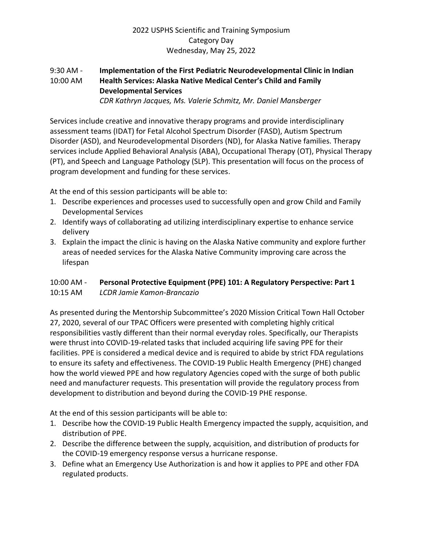# 9:30 AM - **Implementation of the First Pediatric Neurodevelopmental Clinic in Indian**  10:00 AM **Health Services: Alaska Native Medical Center's Child and Family Developmental Services**

*CDR Kathryn Jacques, Ms. Valerie Schmitz, Mr. Daniel Mansberger* 

Services include creative and innovative therapy programs and provide interdisciplinary assessment teams (IDAT) for Fetal Alcohol Spectrum Disorder (FASD), Autism Spectrum Disorder (ASD), and Neurodevelopmental Disorders (ND), for Alaska Native families. Therapy services include Applied Behavioral Analysis (ABA), Occupational Therapy (OT), Physical Therapy (PT), and Speech and Language Pathology (SLP). This presentation will focus on the process of program development and funding for these services.

At the end of this session participants will be able to:

- 1. Describe experiences and processes used to successfully open and grow Child and Family Developmental Services
- 2. Identify ways of collaborating ad utilizing interdisciplinary expertise to enhance service delivery
- 3. Explain the impact the clinic is having on the Alaska Native community and explore further areas of needed services for the Alaska Native Community improving care across the lifespan

# 10:00 AM - **Personal Protective Equipment (PPE) 101: A Regulatory Perspective: Part 1** 10:15 AM *LCDR Jamie Kamon-Brancazio*

As presented during the Mentorship Subcommittee's 2020 Mission Critical Town Hall October 27, 2020, several of our TPAC Officers were presented with completing highly critical responsibilities vastly different than their normal everyday roles. Specifically, our Therapists were thrust into COVID-19-related tasks that included acquiring life saving PPE for their facilities. PPE is considered a medical device and is required to abide by strict FDA regulations to ensure its safety and effectiveness. The COVID-19 Public Health Emergency (PHE) changed how the world viewed PPE and how regulatory Agencies coped with the surge of both public need and manufacturer requests. This presentation will provide the regulatory process from development to distribution and beyond during the COVID-19 PHE response.

At the end of this session participants will be able to:

- 1. Describe how the COVID-19 Public Health Emergency impacted the supply, acquisition, and distribution of PPE.
- 2. Describe the difference between the supply, acquisition, and distribution of products for the COVID-19 emergency response versus a hurricane response.
- 3. Define what an Emergency Use Authorization is and how it applies to PPE and other FDA regulated products.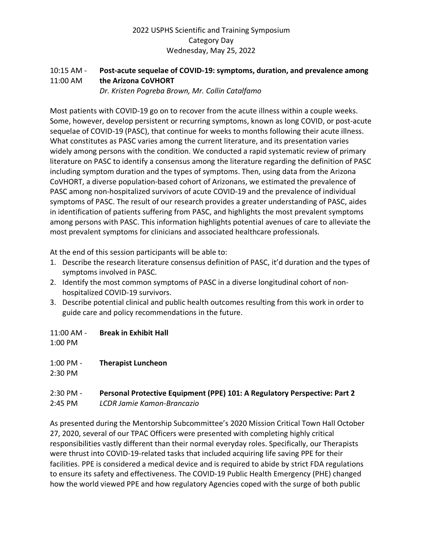# 10:15 AM - **Post-acute sequelae of COVID-19: symptoms, duration, and prevalence among**  11:00 AM **the Arizona CoVHORT**

*Dr. Kristen Pogreba Brown, Mr. Collin Catalfamo* 

Most patients with COVID-19 go on to recover from the acute illness within a couple weeks. Some, however, develop persistent or recurring symptoms, known as long COVID, or post-acute sequelae of COVID-19 (PASC), that continue for weeks to months following their acute illness. What constitutes as PASC varies among the current literature, and its presentation varies widely among persons with the condition. We conducted a rapid systematic review of primary literature on PASC to identify a consensus among the literature regarding the definition of PASC including symptom duration and the types of symptoms. Then, using data from the Arizona CoVHORT, a diverse population-based cohort of Arizonans, we estimated the prevalence of PASC among non-hospitalized survivors of acute COVID-19 and the prevalence of individual symptoms of PASC. The result of our research provides a greater understanding of PASC, aides in identification of patients suffering from PASC, and highlights the most prevalent symptoms among persons with PASC. This information highlights potential avenues of care to alleviate the most prevalent symptoms for clinicians and associated healthcare professionals.

At the end of this session participants will be able to:

- 1. Describe the research literature consensus definition of PASC, it'd duration and the types of symptoms involved in PASC.
- 2. Identify the most common symptoms of PASC in a diverse longitudinal cohort of nonhospitalized COVID-19 survivors.
- 3. Describe potential clinical and public health outcomes resulting from this work in order to guide care and policy recommendations in the future.
- 11:00 AM **Break in Exhibit Hall**

1:00 PM

1:00 PM - **Therapist Luncheon**

2:30 PM

# 2:30 PM - **Personal Protective Equipment (PPE) 101: A Regulatory Perspective: Part 2**

2:45 PM *LCDR Jamie Kamon-Brancazio* 

As presented during the Mentorship Subcommittee's 2020 Mission Critical Town Hall October 27, 2020, several of our TPAC Officers were presented with completing highly critical responsibilities vastly different than their normal everyday roles. Specifically, our Therapists were thrust into COVID-19-related tasks that included acquiring life saving PPE for their facilities. PPE is considered a medical device and is required to abide by strict FDA regulations to ensure its safety and effectiveness. The COVID-19 Public Health Emergency (PHE) changed how the world viewed PPE and how regulatory Agencies coped with the surge of both public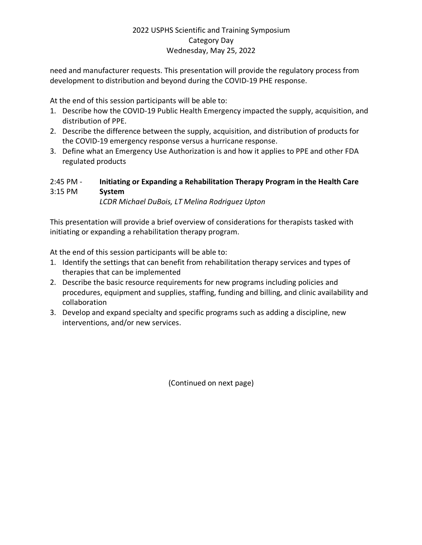need and manufacturer requests. This presentation will provide the regulatory process from development to distribution and beyond during the COVID-19 PHE response.

At the end of this session participants will be able to:

- 1. Describe how the COVID-19 Public Health Emergency impacted the supply, acquisition, and distribution of PPE.
- 2. Describe the difference between the supply, acquisition, and distribution of products for the COVID-19 emergency response versus a hurricane response.
- 3. Define what an Emergency Use Authorization is and how it applies to PPE and other FDA regulated products

# 2:45 PM - **Initiating or Expanding a Rehabilitation Therapy Program in the Health Care**  3:15 PM **System**

*LCDR Michael DuBois, LT Melina Rodriguez Upton* 

This presentation will provide a brief overview of considerations for therapists tasked with initiating or expanding a rehabilitation therapy program.

At the end of this session participants will be able to:

- 1. Identify the settings that can benefit from rehabilitation therapy services and types of therapies that can be implemented
- 2. Describe the basic resource requirements for new programs including policies and procedures, equipment and supplies, staffing, funding and billing, and clinic availability and collaboration
- 3. Develop and expand specialty and specific programs such as adding a discipline, new interventions, and/or new services.

(Continued on next page)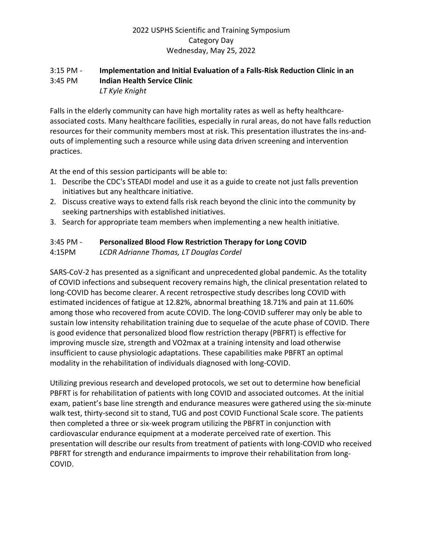### 3:15 PM - **Implementation and Initial Evaluation of a Falls-Risk Reduction Clinic in an**  3:45 PM **Indian Health Service Clinic** *LT Kyle Knight*

Falls in the elderly community can have high mortality rates as well as hefty healthcareassociated costs. Many healthcare facilities, especially in rural areas, do not have falls reduction resources for their community members most at risk. This presentation illustrates the ins-andouts of implementing such a resource while using data driven screening and intervention practices.

At the end of this session participants will be able to:

- 1. Describe the CDC's STEADI model and use it as a guide to create not just falls prevention initiatives but any healthcare initiative.
- 2. Discuss creative ways to extend falls risk reach beyond the clinic into the community by seeking partnerships with established initiatives.
- 3. Search for appropriate team members when implementing a new health initiative.

### 3:45 PM - **Personalized Blood Flow Restriction Therapy for Long COVID**

4:15PM *LCDR Adrianne Thomas, LT Douglas Cordel* 

SARS-CoV-2 has presented as a significant and unprecedented global pandemic. As the totality of COVID infections and subsequent recovery remains high, the clinical presentation related to long-COVID has become clearer. A recent retrospective study describes long COVID with estimated incidences of fatigue at 12.82%, abnormal breathing 18.71% and pain at 11.60% among those who recovered from acute COVID. The long-COVID sufferer may only be able to sustain low intensity rehabilitation training due to sequelae of the acute phase of COVID. There is good evidence that personalized blood flow restriction therapy (PBFRT) is effective for improving muscle size, strength and VO2max at a training intensity and load otherwise insufficient to cause physiologic adaptations. These capabilities make PBFRT an optimal modality in the rehabilitation of individuals diagnosed with long-COVID.

Utilizing previous research and developed protocols, we set out to determine how beneficial PBFRT is for rehabilitation of patients with long COVID and associated outcomes. At the initial exam, patient's base line strength and endurance measures were gathered using the six-minute walk test, thirty-second sit to stand, TUG and post COVID Functional Scale score. The patients then completed a three or six-week program utilizing the PBFRT in conjunction with cardiovascular endurance equipment at a moderate perceived rate of exertion. This presentation will describe our results from treatment of patients with long-COVID who received PBFRT for strength and endurance impairments to improve their rehabilitation from long-COVID.